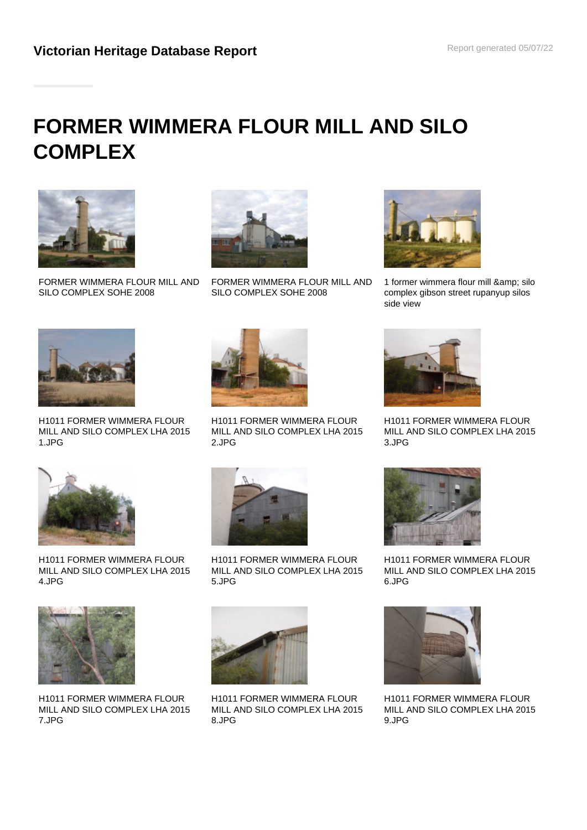# **FORMER WIMMERA FLOUR MILL AND SILO COMPLEX**



FORMER WIMMERA FLOUR MILL AND SILO COMPLEX SOHE 2008



FORMER WIMMERA FLOUR MILL AND SILO COMPLEX SOHE 2008



1 former wimmera flour mill & amp; silo complex gibson street rupanyup silos side view



H1011 FORMER WIMMERA FLOUR MILL AND SILO COMPLEX LHA 2015 1.JPG



H1011 FORMER WIMMERA FLOUR MILL AND SILO COMPLEX LHA 2015 2.JPG



H1011 FORMER WIMMERA FLOUR MILL AND SILO COMPLEX LHA 2015 3.JPG



H1011 FORMER WIMMERA FLOUR MILL AND SILO COMPLEX LHA 2015 4.JPG



H1011 FORMER WIMMERA FLOUR MILL AND SILO COMPLEX LHA 2015 7.JPG



H1011 FORMER WIMMERA FLOUR MILL AND SILO COMPLEX LHA 2015 5.JPG



H1011 FORMER WIMMERA FLOUR MILL AND SILO COMPLEX LHA 2015 8.JPG



H1011 FORMER WIMMERA FLOUR MILL AND SILO COMPLEX LHA 2015 6.JPG



H1011 FORMER WIMMERA FLOUR MILL AND SILO COMPLEX LHA 2015 9.JPG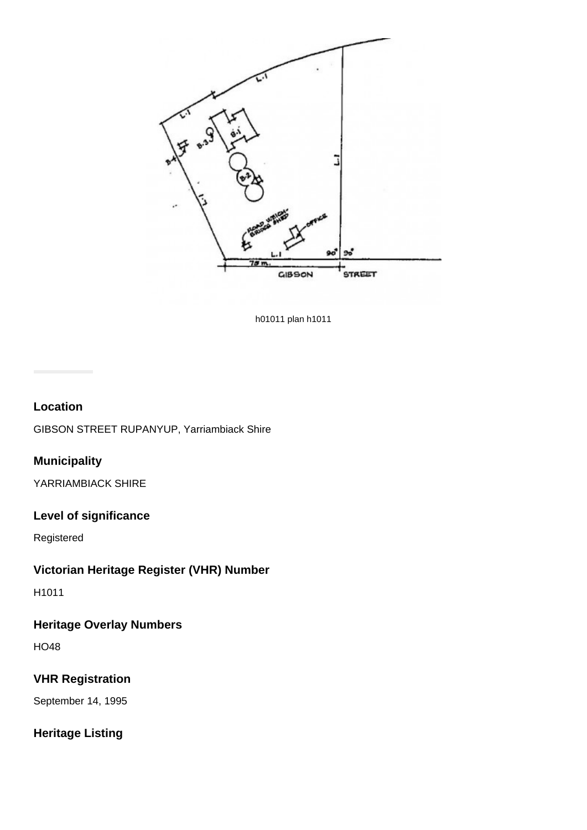

h01011 plan h1011

#### **Location**

GIBSON STREET RUPANYUP, Yarriambiack Shire

# **Municipality**

YARRIAMBIACK SHIRE

## **Level of significance**

Registered

# **Victorian Heritage Register (VHR) Number**

H1011

# **Heritage Overlay Numbers**

HO48

#### **VHR Registration**

September 14, 1995

## **Heritage Listing**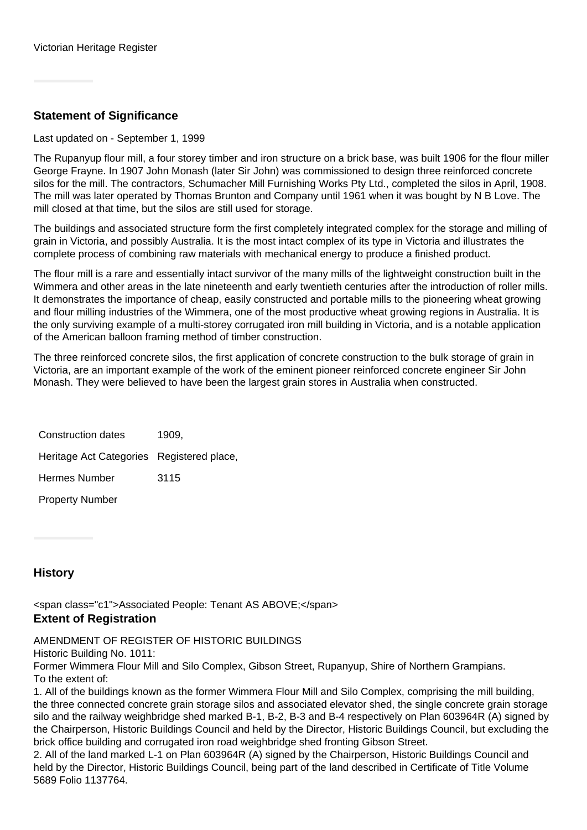### **Statement of Significance**

Last updated on - September 1, 1999

The Rupanyup flour mill, a four storey timber and iron structure on a brick base, was built 1906 for the flour miller George Frayne. In 1907 John Monash (later Sir John) was commissioned to design three reinforced concrete silos for the mill. The contractors, Schumacher Mill Furnishing Works Pty Ltd., completed the silos in April, 1908. The mill was later operated by Thomas Brunton and Company until 1961 when it was bought by N B Love. The mill closed at that time, but the silos are still used for storage.

The buildings and associated structure form the first completely integrated complex for the storage and milling of grain in Victoria, and possibly Australia. It is the most intact complex of its type in Victoria and illustrates the complete process of combining raw materials with mechanical energy to produce a finished product.

The flour mill is a rare and essentially intact survivor of the many mills of the lightweight construction built in the Wimmera and other areas in the late nineteenth and early twentieth centuries after the introduction of roller mills. It demonstrates the importance of cheap, easily constructed and portable mills to the pioneering wheat growing and flour milling industries of the Wimmera, one of the most productive wheat growing regions in Australia. It is the only surviving example of a multi-storey corrugated iron mill building in Victoria, and is a notable application of the American balloon framing method of timber construction.

The three reinforced concrete silos, the first application of concrete construction to the bulk storage of grain in Victoria, are an important example of the work of the eminent pioneer reinforced concrete engineer Sir John Monash. They were believed to have been the largest grain stores in Australia when constructed.

| Construction dates                        | 1909. |
|-------------------------------------------|-------|
| Heritage Act Categories Registered place, |       |
| <b>Hermes Number</b>                      | 3115  |
| <b>Property Number</b>                    |       |

#### **History**

<span class="c1">Associated People: Tenant AS ABOVE;</span> **Extent of Registration**

AMENDMENT OF REGISTER OF HISTORIC BUILDINGS

Historic Building No. 1011:

Former Wimmera Flour Mill and Silo Complex, Gibson Street, Rupanyup, Shire of Northern Grampians. To the extent of:

1. All of the buildings known as the former Wimmera Flour Mill and Silo Complex, comprising the mill building, the three connected concrete grain storage silos and associated elevator shed, the single concrete grain storage silo and the railway weighbridge shed marked B-1, B-2, B-3 and B-4 respectively on Plan 603964R (A) signed by the Chairperson, Historic Buildings Council and held by the Director, Historic Buildings Council, but excluding the brick office building and corrugated iron road weighbridge shed fronting Gibson Street.

2. All of the land marked L-1 on Plan 603964R (A) signed by the Chairperson, Historic Buildings Council and held by the Director, Historic Buildings Council, being part of the land described in Certificate of Title Volume 5689 Folio 1137764.